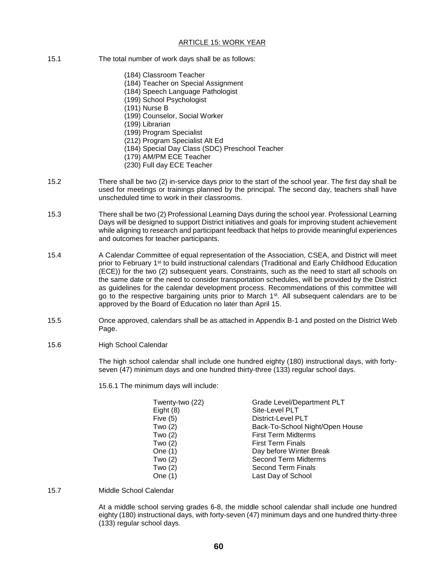## ARTICLE 15: WORK YEAR

- 15.1 The total number of work days shall be as follows:
	- (184) Classroom Teacher
	- (184) Teacher on Special Assignment
	- (184) Speech Language Pathologist
	- (199) School Psychologist
	- (191) Nurse B
	- (199) Counselor, Social Worker
	- (199) Librarian
	- (199) Program Specialist
	- (212) Program Specialist Alt Ed
	- (184) Special Day Class (SDC) Preschool Teacher
	- (179) AM/PM ECE Teacher
	- (230) Full day ECE Teacher
- 15.2 There shall be two (2) in-service days prior to the start of the school year. The first day shall be used for meetings or trainings planned by the principal. The second day, teachers shall have unscheduled time to work in their classrooms.
- 15.3 There shall be two (2) Professional Learning Days during the school year. Professional Learning Days will be designed to support District initiatives and goals for improving student achievement while aligning to research and participant feedback that helps to provide meaningful experiences and outcomes for teacher participants.
- 15.4 A Calendar Committee of equal representation of the Association, CSEA, and District will meet prior to February 1<sup>st</sup> to build instructional calendars (Traditional and Early Childhood Education (ECE)) for the two (2) subsequent years. Constraints, such as the need to start all schools on the same date or the need to consider transportation schedules, will be provided by the District as guidelines for the calendar development process. Recommendations of this committee will go to the respective bargaining units prior to March  $1<sup>st</sup>$ . All subsequent calendars are to be approved by the Board of Education no later than April 15.
- 15.5 Once approved, calendars shall be as attached in Appendix B-1 and posted on the District Web Page.
- 15.6 High School Calendar

The high school calendar shall include one hundred eighty (180) instructional days, with fortyseven (47) minimum days and one hundred thirty-three (133) regular school days.

15.6.1 The minimum days will include:

| Twenty-two (22) | Grade Level/Department PLT      |
|-----------------|---------------------------------|
| Eight $(8)$     | Site-Level PLT                  |
| Five $(5)$      | <b>District-Level PLT</b>       |
| Two $(2)$       | Back-To-School Night/Open House |
| Two $(2)$       | <b>First Term Midterms</b>      |
| Two $(2)$       | <b>First Term Finals</b>        |
| One $(1)$       | Day before Winter Break         |
| Two $(2)$       | <b>Second Term Midterms</b>     |
| Two $(2)$       | Second Term Finals              |
| One (1)         | Last Day of School              |

15.7 Middle School Calendar

At a middle school serving grades 6-8, the middle school calendar shall include one hundred eighty (180) instructional days, with forty-seven (47) minimum days and one hundred thirty-three (133) regular school days.